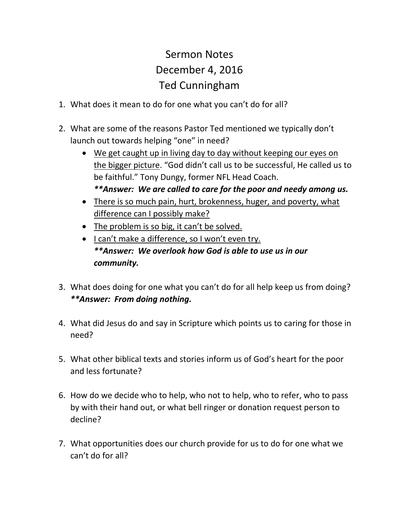## Sermon Notes December 4, 2016 Ted Cunningham

- 1. What does it mean to do for one what you can't do for all?
- 2. What are some of the reasons Pastor Ted mentioned we typically don't launch out towards helping "one" in need?
	- We get caught up in living day to day without keeping our eyes on the bigger picture. "God didn't call us to be successful, He called us to be faithful." Tony Dungy, former NFL Head Coach. *\*\*Answer: We are called to care for the poor and needy among us.*
	- There is so much pain, hurt, brokenness, huger, and poverty, what difference can I possibly make?
	- The problem is so big, it can't be solved.
	- I can't make a difference, so I won't even try. *\*\*Answer: We overlook how God is able to use us in our community.*
- 3. What does doing for one what you can't do for all help keep us from doing? *\*\*Answer: From doing nothing.*
- 4. What did Jesus do and say in Scripture which points us to caring for those in need?
- 5. What other biblical texts and stories inform us of God's heart for the poor and less fortunate?
- 6. How do we decide who to help, who not to help, who to refer, who to pass by with their hand out, or what bell ringer or donation request person to decline?
- 7. What opportunities does our church provide for us to do for one what we can't do for all?